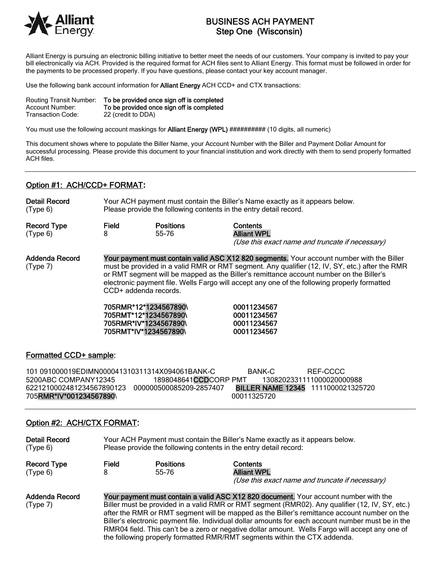

# BUSINESS ACH PAYMENT Step One (Wisconsin)

Alliant Energy is pursuing an electronic billing initiative to better meet the needs of our customers. Your company is invited to pay your bill electronically via ACH. Provided is the required format for ACH files sent to Alliant Energy. This format must be followed in order for the payments to be processed properly. If you have questions, please contact your key account manager.

Use the following bank account information for **Alliant Energy** ACH CCD+ and CTX transactions:

| <b>Routing Transit Number:</b> | To be provided once sign off is completed |
|--------------------------------|-------------------------------------------|
| Account Number:                | To be provided once sign off is completed |
| Transaction Code:              | 22 (credit to DDA)                        |

You must use the following account maskings for **Alliant Energy (WPL)** ########## (10 digits, all numeric)

This document shows where to populate the Biller Name, your Account Number with the Biller and Payment Dollar Amount for successful processing. Please provide this document to your financial institution and work directly with them to send properly formatted ACH files.

#### Option #1: ACH/CCD+ FORMAT**:**

| <b>Detail Record</b>           | Your ACH payment must contain the Biller's Name exactly as it appears below. |                           |                                                                                          |  |
|--------------------------------|------------------------------------------------------------------------------|---------------------------|------------------------------------------------------------------------------------------|--|
| (Type 6)                       | Please provide the following contents in the entry detail record.            |                           |                                                                                          |  |
| <b>Record Type</b><br>(Type 6) | Field                                                                        | <b>Positions</b><br>55-76 | <b>Contents</b><br><b>Alliant WPL</b><br>(Use this exact name and truncate if necessary) |  |

Addenda Record Your payment must contain valid ASC X12 820 segments. Your account number with the Biller (Type 7) must be provided in a valid RMR or RMT segment. Any qualifier (12, IV, SY, etc.) after the RMR or RMT segment will be mapped as the Biller's remittance account number on the Biller's electronic payment file. Wells Fargo will accept any one of the following properly formatted CCD+ addenda records.

|                       | 705RMR*12*1234567890\ |
|-----------------------|-----------------------|
|                       | 705RMT*12*1234567890\ |
|                       | 705RMR*IV*1234567890\ |
| 705RMT*IV*1234567890\ |                       |

00011234567 00011234567 00011234567 00011234567

#### Formatted CCD+ sample:

101 091000019EDIMN000041310311314X094061BANK-C BANK-C REF-CCCC 5200ABC COMPANY12345 1898048641CCDCORP PMT 1308202331111000020000988 6221210002481234567890123 000000500085209-2857407 BILLER NAME 12345 1111000021325720 705**RMR\*IV\*001234567890**\ 00011325720

## Option #2: ACH/CTX FORMAT:

| <b>Detail Record</b><br>(Type 6) | Your ACH Payment must contain the Biller's Name exactly as it appears below.<br>Please provide the following contents in the entry detail record:                                       |                           |                                                                                          |  |  |
|----------------------------------|-----------------------------------------------------------------------------------------------------------------------------------------------------------------------------------------|---------------------------|------------------------------------------------------------------------------------------|--|--|
| <b>Record Type</b><br>(Type 6)   | Field                                                                                                                                                                                   | <b>Positions</b><br>55-76 | <b>Contents</b><br><b>Alliant WPL</b><br>(Use this exact name and truncate if necessary) |  |  |
| Addenda Record<br>(Type 7)       | Your payment must contain a valid ASC X12 820 document. Your account number with the<br>Biller must be provided in a valid RMR or RMT segment (RMR02). Any qualifier (12, IV, SY, etc.) |                           |                                                                                          |  |  |

after the RMR or RMT segment will be mapped as the Biller's remittance account number on the Biller's electronic payment file. Individual dollar amounts for each account number must be in the RMR04 field. This can't be a zero or negative dollar amount. Wells Fargo will accept any one of the following properly formatted RMR/RMT segments within the CTX addenda.